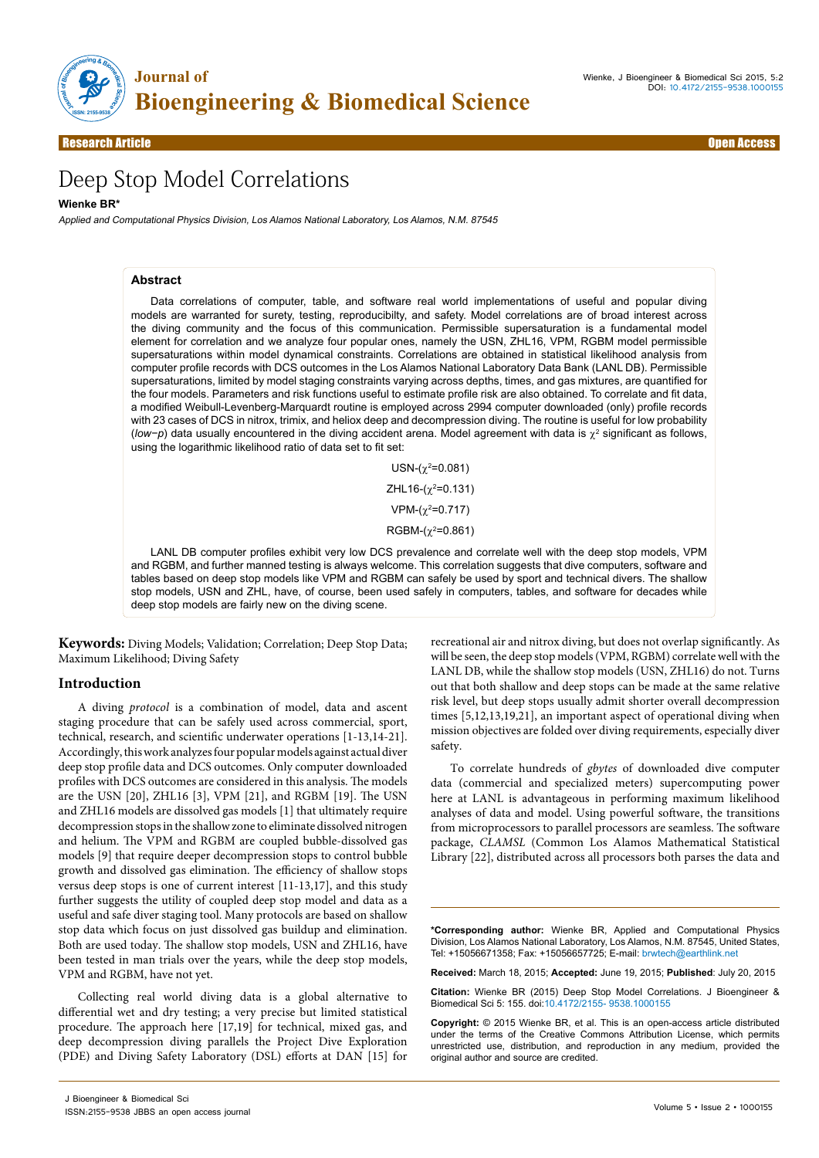

# Research Article Open Access

# Deep Stop Model Correlations

#### **Wienke BR\***

Applied and Computational Physics Division, Los Alamos National Laboratory, Los Alamos, N.M. 87545

# **Abstract**

Data correlations of computer, table, and software real world implementations of useful and popular diving models are warranted for surety, testing, reproducibilty, and safety. Model correlations are of broad interest across the diving community and the focus of this communication. Permissible supersaturation is a fundamental model element for correlation and we analyze four popular ones, namely the USN, ZHL16, VPM, RGBM model permissible supersaturations within model dynamical constraints. Correlations are obtained in statistical likelihood analysis from computer profile records with DCS outcomes in the Los Alamos National Laboratory Data Bank (LANL DB). Permissible supersaturations, limited by model staging constraints varying across depths, times, and gas mixtures, are quantified for the four models. Parameters and risk functions useful to estimate profile risk are also obtained. To correlate and fit data, a modified Weibull-Levenberg-Marquardt routine is employed across 2994 computer downloaded (only) profile records with 23 cases of DCS in nitrox, trimix, and heliox deep and decompression diving. The routine is useful for low probability (*low-p*) data usually encountered in the diving accident arena. Model agreement with data is  $\chi^2$  significant as follows, using the logarithmic likelihood ratio of data set to fit set:

> USN- $(x^2=0.081)$ ZHL16- $(x^2=0.131)$ VPM- $(χ²=0.717)$ RGBM- $(χ²=0.861)$

LANL DB computer profiles exhibit very low DCS prevalence and correlate well with the deep stop models, VPM and RGBM, and further manned testing is always welcome. This correlation suggests that dive computers, software and tables based on deep stop models like VPM and RGBM can safely be used by sport and technical divers. The shallow stop models, USN and ZHL, have, of course, been used safely in computers, tables, and software for decades while deep stop models are fairly new on the diving scene.

**Keywords:** Diving Models; Validation; Correlation; Deep Stop Data; Maximum Likelihood; Diving Safety

# **Introduction**

A diving *protocol* is a combination of model, data and ascent staging procedure that can be safely used across commercial, sport, technical, research, and scientific underwater operations [1-13,14-21]. Accordingly, this work analyzes four popular models against actual diver deep stop profile data and DCS outcomes. Only computer downloaded profiles with DCS outcomes are considered in this analysis. The models are the USN [20], ZHL16 [3], VPM [21], and RGBM [19]. The USN and ZHL16 models are dissolved gas models [1] that ultimately require decompression stops in the shallow zone to eliminate dissolved nitrogen and helium. The VPM and RGBM are coupled bubble-dissolved gas models [9] that require deeper decompression stops to control bubble growth and dissolved gas elimination. The efficiency of shallow stops versus deep stops is one of current interest [11-13,17], and this study further suggests the utility of coupled deep stop model and data as a useful and safe diver staging tool. Many protocols are based on shallow stop data which focus on just dissolved gas buildup and elimination. Both are used today. The shallow stop models, USN and ZHL16, have been tested in man trials over the years, while the deep stop models, VPM and RGBM, have not yet.

Collecting real world diving data is a global alternative to differential wet and dry testing; a very precise but limited statistical procedure. The approach here [17,19] for technical, mixed gas, and deep decompression diving parallels the Project Dive Exploration (PDE) and Diving Safety Laboratory (DSL) efforts at DAN [15] for

recreational air and nitrox diving, but does not overlap significantly. As will be seen, the deep stop models (VPM, RGBM) correlate well with the LANL DB, while the shallow stop models (USN, ZHL16) do not. Turns out that both shallow and deep stops can be made at the same relative risk level, but deep stops usually admit shorter overall decompression times [5,12,13,19,21], an important aspect of operational diving when mission objectives are folded over diving requirements, especially diver safety.

To correlate hundreds of *gbytes* of downloaded dive computer data (commercial and specialized meters) supercomputing power here at LANL is advantageous in performing maximum likelihood analyses of data and model. Using powerful software, the transitions from microprocessors to parallel processors are seamless. The software package, *CLAMSL* (Common Los Alamos Mathematical Statistical Library [22], distributed across all processors both parses the data and

**\*Corresponding author:** Wienke BR, Applied and Computational Physics Division, Los Alamos National Laboratory, Los Alamos, N.M. 87545, United States, Tel: +15056671358; Fax: +15056657725; E-mail: brwtech@earthlink.net

**Received:** March 18, 2015; **Accepted:** June 19, 2015; **Published**: July 20, 2015

**Citation:** Wienke BR (2015) Deep Stop Model Correlations. J Bioengineer & Biomedical Sci 5: 155. doi:10.4172/2155- 9538.1000155

**Copyright:** © 2015 Wienke BR, et al. This is an open-access article distributed under the terms of the Creative Commons Attribution License, which permits unrestricted use, distribution, and reproduction in any medium, provided the original author and source are credited.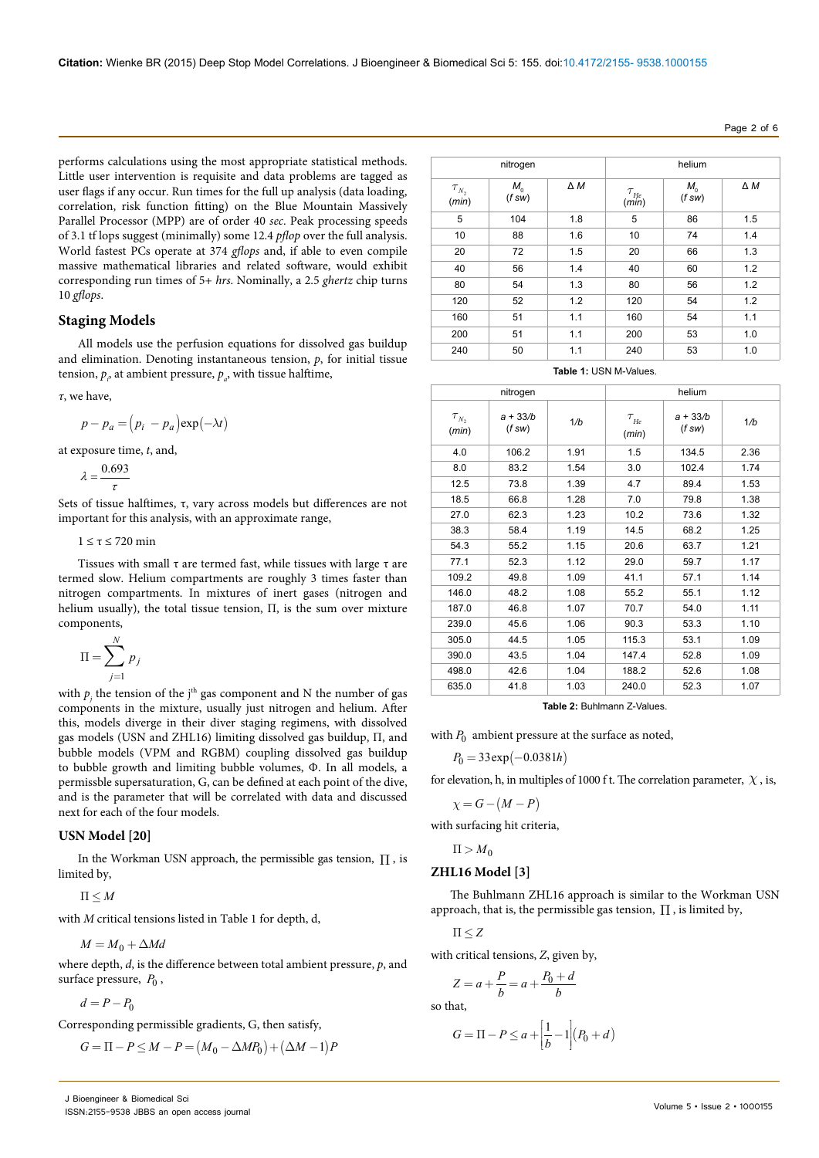performs calculations using the most appropriate statistical methods. Little user intervention is requisite and data problems are tagged as user flags if any occur. Run times for the full up analysis (data loading, correlation, risk function fitting) on the Blue Mountain Massively Parallel Processor (MPP) are of order 40 *sec*. Peak processing speeds of 3.1 tf lops suggest (minimally) some 12.4 *pflop* over the full analysis. World fastest PCs operate at 374 *gflops* and, if able to even compile massive mathematical libraries and related software, would exhibit corresponding run times of 5+ *hrs*. Nominally, a 2.5 *ghertz* chip turns 10 *gflops*.

# **Staging Models**

All models use the perfusion equations for dissolved gas buildup and elimination. Denoting instantaneous tension, *p*, for initial tissue tension,  $p_{\rho}$  at ambient pressure,  $p_{\scriptscriptstyle a}^{}$ , with tissue halftime,

*τ*, we have,

$$
p - p_a = (p_i - p_a) \exp(-\lambda t)
$$

at exposure time, *t*, and,

$$
\lambda = \frac{0.693}{\tau}
$$

Sets of tissue halftimes, τ, vary across models but differences are not important for this analysis, with an approximate range,

 $1 \leq \tau \leq 720$  min

Tissues with small  $\tau$  are termed fast, while tissues with large  $\tau$  are termed slow. Helium compartments are roughly 3 times faster than nitrogen compartments. In mixtures of inert gases (nitrogen and helium usually), the total tissue tension, Π, is the sum over mixture components,

$$
\Pi = \sum_{j=1}^{N} p_j
$$

with  $p_j$  the tension of the j<sup>th</sup> gas component and N the number of gas components in the mixture, usually just nitrogen and helium. After this, models diverge in their diver staging regimens, with dissolved gas models (USN and ZHL16) limiting dissolved gas buildup, Π, and bubble models (VPM and RGBM) coupling dissolved gas buildup to bubble growth and limiting bubble volumes, Φ. In all models, a permissble supersaturation, G, can be defined at each point of the dive, and is the parameter that will be correlated with data and discussed next for each of the four models.

#### **USN Model [20]**

In the Workman USN approach, the permissible gas tension,  $\Pi$ , is limited by,

 $\Pi \leq M$ 

with *M* critical tensions listed in Table 1 for depth, d,

 $M = M_0 + \Delta M d$ 

where depth, *d*, is the difference between total ambient pressure, *p*, and surface pressure,  $P_0$ ,

$$
d = P - P_0
$$

Corresponding permissible gradients, G, then satisfy,

$$
G = \Pi - P \le M - P = (M_0 - \Delta M P_0) + (\Delta M - 1)P
$$

| nitrogen                     |                        |               | helium                  |                        |               |
|------------------------------|------------------------|---------------|-------------------------|------------------------|---------------|
| $\mathcal{T}_{N_2}$<br>(min) | $M_{\Omega}$<br>(f sw) | $\triangle M$ | $\tau_{He}(\text{min})$ | $M_{\Omega}$<br>(f sw) | $\triangle M$ |
| 5                            | 104                    | 1.8           | 5                       | 86                     | 1.5           |
| 10                           | 88                     | 1.6           | 10                      | 74                     | 1.4           |
| 20                           | 72                     | 1.5           | 20                      | 66                     | 1.3           |
| 40                           | 56                     | 1.4           | 40                      | 60                     | 1.2           |
| 80                           | 54                     | 1.3           | 80                      | 56                     | 1.2           |
| 120                          | 52                     | 1.2           | 120                     | 54                     | 1.2           |
| 160                          | 51                     | 1.1           | 160                     | 54                     | 1.1           |
| 200                          | 51                     | 1.1           | 200                     | 53                     | 1.0           |
| 240                          | 50                     | 1.1           | 240                     | 53                     | 1.0           |

**Table 1:** USN M-Values.

nitrogen and helium  $\tau_{N_2}$ (*min*) *a* + 33*/b*  $\begin{array}{c|c|c|c|c} \n7 + 33/b & & 1/b & & \tau_{He} \n(fsw) & & & & \tau_{He} \n\end{array}$ (*min*) *a* + 33*/b* (*f sw*) <sup>1</sup>*/b* 4.0 106.2 1.91 1.5 134.5 2.36 8.0 83.2 1.54 3.0 102.4 1.74 12.5 73.8 1.39 4.7 89.4 1.53 18.5 66.8 1.28 7.0 79.8 1.38 27.0 62.3 1.23 10.2 73.6 1.32 38.3 58.4 1.19 14.5 68.2 1.25 54.3 55.2 1.15 20.6 63.7 1.21 77.1 52.3 1.12 29.0 59.7 1.17 109.2 49.8 1.09 41.1 57.1 1.14 146.0 48.2 1.08 55.2 55.1 1.12 187.0 46.8 1.07 70.7 54.0 1.11 239.0 45.6 1.06 90.3 53.3 1.10 305.0 44.5 1.05 115.3 53.1 1.09 390.0 43.5 1.04 147.4 52.8 1.09 498.0 42.6 1.04 188.2 52.6 1.08 635.0 41.8 1.03 240.0 52.3 1.07

**Table 2:** Buhlmann Z-Values.

with  $P_0$  ambient pressure at the surface as noted,

$$
P_0 = 33 \exp(-0.0381h)
$$

for elevation, h, in multiples of 1000 f t. The correlation parameter,  $\chi$ , is,

$$
\chi = G - (M - P)
$$

with surfacing hit criteria,

$$
\Pi>M_0
$$

#### **ZHL16 Model [3]**

The Buhlmann ZHL16 approach is similar to the Workman USN approach, that is, the permissible gas tension,  $\Pi$ , is limited by,

$$
\Pi\leq Z
$$

with critical tensions, *Z*, given by,

$$
Z = a + \frac{P}{b} = a + \frac{P_0 + d}{b}
$$

so that,

$$
G=\Pi-P\leq a+\bigg[\frac{1}{b}-1\bigg]\big(P_0+d\big)
$$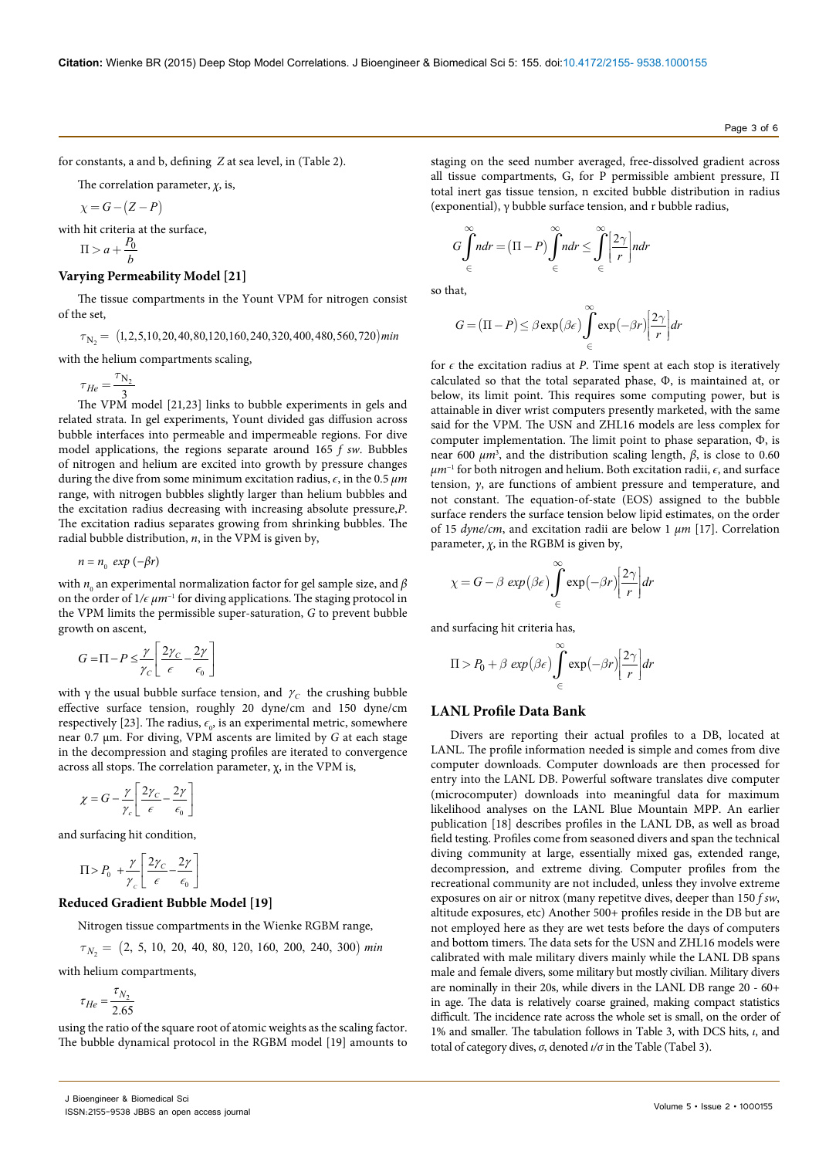for constants, a and b, defining *Z* at sea level, in (Table 2).

The correlation parameter, *χ*, is,

$$
\chi = G - (Z - P)
$$

with hit criteria at the surface,

$$
\Pi > a + \frac{P_0}{b}
$$

# **Varying Permeability Model [21]**

The tissue compartments in the Yount VPM for nitrogen consist of the set,

$$
\tau_{\rm N_2} = (1, 2, 5, 10, 20, 40, 80, 120, 160, 240, 320, 400, 480, 560, 720) \text{ min}
$$

with the helium compartments scaling,

$$
\tau_{He} = \frac{\tau_{\text{N}_2}}{3}
$$

 $\frac{H}{H}$   $\frac{H}{B} = \frac{3}{3}$ <br>The VPM model [21,23] links to bubble experiments in gels and related strata. In gel experiments, Yount divided gas diffusion across bubble interfaces into permeable and impermeable regions. For dive model applications, the regions separate around 165 *f sw*. Bubbles of nitrogen and helium are excited into growth by pressure changes during the dive from some minimum excitation radius, *ϵ*, in the 0.5 *μm* range, with nitrogen bubbles slightly larger than helium bubbles and the excitation radius decreasing with increasing absolute pressure,*P*. The excitation radius separates growing from shrinking bubbles. The radial bubble distribution, *n*, in the VPM is given by,

 $n = n_0 \exp(-\beta r)$ 

with  $n_{_0}$  an experimental normalization factor for gel sample size, and  $\beta$ on the order of  $1/\epsilon \mu m^{-1}$  for diving applications. The staging protocol in the VPM limits the permissible super-saturation, *G* to prevent bubble growth on ascent,

$$
G = \Pi - P \le \frac{\gamma}{\gamma_C} \left[ \frac{2\gamma_C}{\epsilon} - \frac{2\gamma}{\epsilon_0} \right]
$$

with γ the usual bubble surface tension, and  $γ<sub>C</sub>$  the crushing bubble effective surface tension, roughly 20 dyne/cm and 150 dyne/cm respectively [23]. The radius,  $\epsilon_{0}$ , is an experimental metric, somewhere near 0.7 μm. For diving, VPM ascents are limited by *G* at each stage in the decompression and staging profiles are iterated to convergence across all stops. The correlation parameter, χ, in the VPM is,

$$
\chi = G - \frac{\gamma}{\gamma_c} \left[ \frac{2\gamma_c}{\epsilon} - \frac{2\gamma}{\epsilon_0} \right]
$$

and surfacing hit condition,

$$
\Pi > P_0 + \frac{\gamma}{\gamma_c} \left[ \frac{2\gamma_c}{\epsilon} - \frac{2\gamma}{\epsilon_0} \right]
$$

# **Reduced Gradient Bubble Model [19]**

Nitrogen tissue compartments in the Wienke RGBM range,

 $\tau_{N_2} = (2, 5, 10, 20, 40, 80, 120, 160, 200, 240, 300)$  min

with helium compartments,

 $\frac{N_2}{2.65}$  $\tau_{He} = \frac{\tau_N}{2}$ 

using the ratio of the square root of atomic weights as the scaling factor. The bubble dynamical protocol in the RGBM model [19] amounts to

staging on the seed number averaged, free-dissolved gradient across all tissue compartments, G, for P permissible ambient pressure, Π total inert gas tissue tension, n excited bubble distribution in radius (exponential), γ bubble surface tension, and r bubble radius,

$$
G\int_{\epsilon}^{\infty} n dr = (\Pi - P) \int_{\epsilon}^{\infty} n dr \le \int_{\epsilon}^{\infty} \left[ \frac{2\gamma}{r} \right] n dr
$$

so that,

$$
G = (\Pi - P) \le \beta \exp(\beta \epsilon) \int_{\epsilon}^{\infty} \exp(-\beta r) \left[ \frac{2\gamma}{r} \right] dr
$$

for  $\epsilon$  the excitation radius at *P*. Time spent at each stop is iteratively calculated so that the total separated phase, Φ, is maintained at, or below, its limit point. This requires some computing power, but is attainable in diver wrist computers presently marketed, with the same said for the VPM. The USN and ZHL16 models are less complex for computer implementation. The limit point to phase separation, Φ, is near 600 *μm*<sup>3</sup> , and the distribution scaling length, *β*, is close to 0.60 *μm−*<sup>1</sup> for both nitrogen and helium. Both excitation radii, *ϵ*, and surface tension, *γ*, are functions of ambient pressure and temperature, and not constant. The equation-of-state (EOS) assigned to the bubble surface renders the surface tension below lipid estimates, on the order of 15 *dyne/cm*, and excitation radii are below 1 *μm* [17]. Correlation parameter,  $\chi$ , in the RGBM is given by,

$$
\chi = G - \beta \exp(\beta \epsilon) \int_{\epsilon}^{\infty} \exp(-\beta r) \left[ \frac{2\gamma}{r} \right] dr
$$

and surfacing hit criteria has,

$$
\Pi > P_0 + \beta \exp(\beta \epsilon) \int_{\epsilon}^{\infty} \exp(-\beta r) \left[ \frac{2\gamma}{r} \right] dr
$$

#### **LANL Profile Data Bank**

Divers are reporting their actual profiles to a DB, located at LANL. The profile information needed is simple and comes from dive computer downloads. Computer downloads are then processed for entry into the LANL DB. Powerful software translates dive computer (microcomputer) downloads into meaningful data for maximum likelihood analyses on the LANL Blue Mountain MPP. An earlier publication [18] describes profiles in the LANL DB, as well as broad field testing. Profiles come from seasoned divers and span the technical diving community at large, essentially mixed gas, extended range, decompression, and extreme diving. Computer profiles from the recreational community are not included, unless they involve extreme exposures on air or nitrox (many repetitve dives, deeper than 150 *f sw*, altitude exposures, etc) Another 500+ profiles reside in the DB but are not employed here as they are wet tests before the days of computers and bottom timers. The data sets for the USN and ZHL16 models were calibrated with male military divers mainly while the LANL DB spans male and female divers, some military but mostly civilian. Military divers are nominally in their 20s, while divers in the LANL DB range 20 - 60+ in age. The data is relatively coarse grained, making compact statistics difficult. The incidence rate across the whole set is small, on the order of 1% and smaller. The tabulation follows in Table 3, with DCS hits, *ι*, and total of category dives, *σ*, denoted *ι/σ* in the Table (Tabel 3).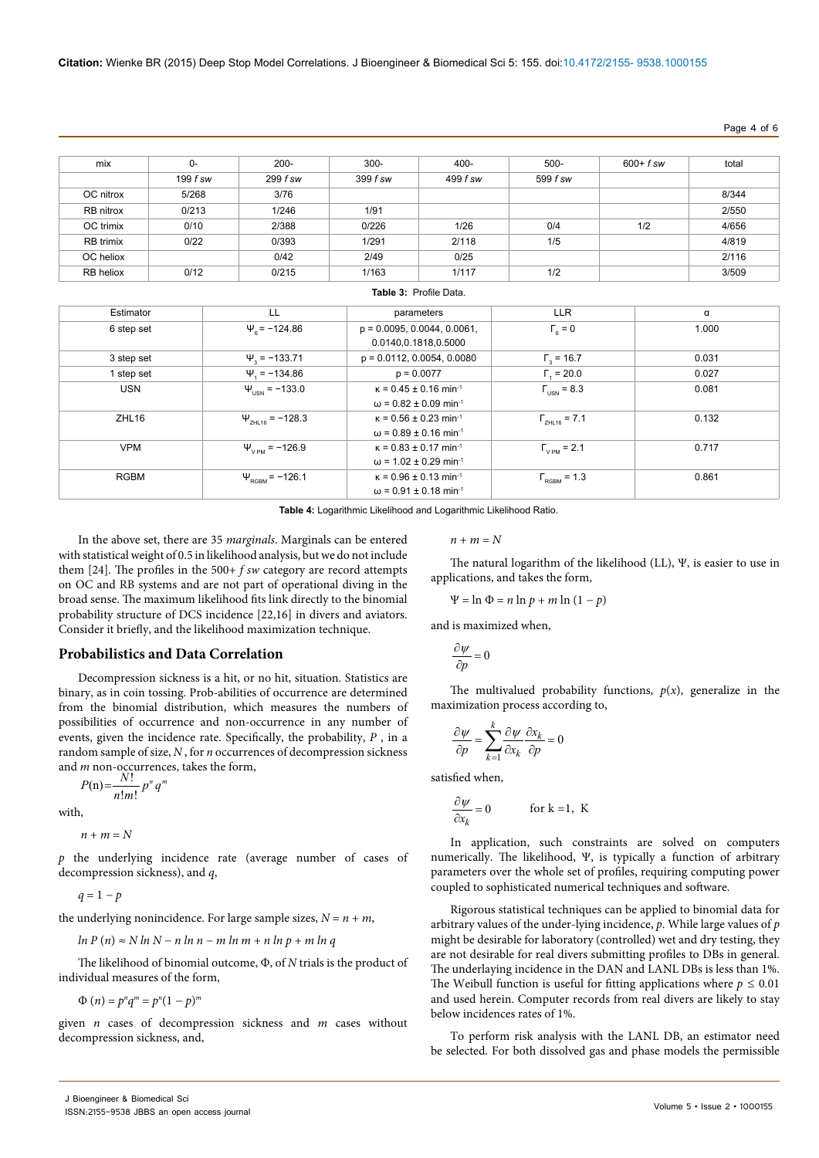| Ряпе<br>o<br>4 | ١ |
|----------------|---|
|----------------|---|

| mix              | 0-         | $200 -$      | $300 -$  | $400 -$  | $500 -$  | $600+ f$ sw | total |
|------------------|------------|--------------|----------|----------|----------|-------------|-------|
|                  | 199 $f$ sw | $299$ $f$ sw | 399 f sw | 499 f sw | 599 f sw |             |       |
| OC nitrox        | 5/268      | 3/76         |          |          |          |             | 8/344 |
| RB nitrox        | 0/213      | 1/246        | 1/91     |          |          |             | 2/550 |
| OC trimix        | 0/10       | 2/388        | 0/226    | 1/26     | 0/4      | 1/2         | 4/656 |
| <b>RB</b> trimix | 0/22       | 0/393        | 1/291    | 2/118    | 1/5      |             | 4/819 |
| OC heliox        |            | 0/42         | 2/49     | 0/25     |          |             | 2/116 |
| RB heliox        | 0/12       | 0/215        | 1/163    | 1/117    | 1/2      |             | 3/509 |

#### **Table 3:** Profile Data.

| Estimator   | LL                               | parameters                               | <b>LLR</b>                   | α     |
|-------------|----------------------------------|------------------------------------------|------------------------------|-------|
| 6 step set  | $\Psi_{\rm s}$ = -124.86         | $p = 0.0095, 0.0044, 0.0061,$            | $\Gamma_{\rm g} = 0$         | 1.000 |
|             |                                  | 0.0140,0.1818,0.5000                     |                              |       |
| 3 step set  | $\Psi$ <sub>2</sub> = -133.71    | $p = 0.0112, 0.0054, 0.0080$             | $\Gamma$ <sub>3</sub> = 16.7 | 0.031 |
| 1 step set  | $\Psi = -134.86$                 | $p = 0.0077$                             | $\Gamma$ <sub>2</sub> = 20.0 | 0.027 |
| <b>USN</b>  | $\Psi_{\text{USN}} = -133.0$     | $K = 0.45 \pm 0.16$ min <sup>-1</sup>    | $\Gamma_{\text{USN}} = 8.3$  | 0.081 |
|             |                                  | $\omega$ = 0.82 ± 0.09 min <sup>-1</sup> |                              |       |
| ZHL16       | $\Psi$ <sub>ZHL16</sub> = -128.3 | $K = 0.56 \pm 0.23$ min <sup>-1</sup>    | $\Gamma_{\rm 7H116}$ = 7.1   | 0.132 |
|             |                                  | $\omega$ = 0.89 ± 0.16 min <sup>-1</sup> |                              |       |
| <b>VPM</b>  | $\Psi_{VPM} = -126.9$            | $K = 0.83 \pm 0.17$ min <sup>-1</sup>    | $\Gamma_{VPM}$ = 2.1         | 0.717 |
|             |                                  | $\omega$ = 1.02 ± 0.29 min <sup>-1</sup> |                              |       |
| <b>RGBM</b> | $\Psi$ <sub>RGBM</sub> = -126.1  | $K = 0.96 \pm 0.13$ min <sup>-1</sup>    | $\Gamma_{\text{RGBM}}$ = 1.3 | 0.861 |
|             |                                  | $\omega$ = 0.91 ± 0.18 min <sup>-1</sup> |                              |       |
|             |                                  |                                          |                              |       |

**Table 4:** Logarithmic Likelihood and Logarithmic Likelihood Ratio.

In the above set, there are 35 *marginals*. Marginals can be entered with statistical weight of 0.5 in likelihood analysis, but we do not include them [24]. The profiles in the 500+ *f sw* category are record attempts on OC and RB systems and are not part of operational diving in the broad sense. The maximum likelihood fits link directly to the binomial probability structure of DCS incidence [22,16] in divers and aviators. Consider it briefly, and the likelihood maximization technique.

# **Probabilistics and Data Correlation**

Decompression sickness is a hit, or no hit, situation. Statistics are binary, as in coin tossing. Prob-abilities of occurrence are determined from the binomial distribution, which measures the numbers of possibilities of occurrence and non-occurrence in any number of events, given the incidence rate. Specifically, the probability, *P* , in a random sample of size, *N* , for *n* occurrences of decompression sickness and *m* non-occurrences, takes the form,

$$
P(n) = \frac{N!}{n!m!} p^n q^m
$$

with,

 $n + m = N$ 

*p* the underlying incidence rate (average number of cases of decompression sickness), and *q*,

*q* = 1 *− p*

the underlying nonincidence. For large sample sizes,  $N = n + m$ ,

*ln P* (*n*) *≈ N ln N − n ln n − m ln m* + *n ln p* + *m ln q*

The likelihood of binomial outcome, Φ, of *N* trials is the product of individual measures of the form,

 $\Phi(n) = p^n q^m = p^n (1-p)^m$ 

given *n* cases of decompression sickness and *m* cases without decompression sickness, and,

 $n + m = N$ 

The natural logarithm of the likelihood (LL), Ψ, is easier to use in applications, and takes the form,

 $Ψ = ln Φ = n ln p + m ln (1 - p)$ 

and is maximized when,

$$
\frac{\partial \psi}{\partial p} = 0
$$

The multivalued probability functions,  $p(x)$ , generalize in the maximization process according to,

$$
\frac{\partial \psi}{\partial p} = \sum_{k=1}^{k} \frac{\partial \psi}{\partial x_k} \frac{\partial x_k}{\partial p} = 0
$$

satisfied when,

$$
\frac{\partial \psi}{\partial x_k} = 0 \quad \text{for } k = 1, K
$$

In application, such constraints are solved on computers numerically. The likelihood, Ψ, is typically a function of arbitrary parameters over the whole set of profiles, requiring computing power coupled to sophisticated numerical techniques and software.

Rigorous statistical techniques can be applied to binomial data for arbitrary values of the under-lying incidence, *p*. While large values of *p* might be desirable for laboratory (controlled) wet and dry testing, they are not desirable for real divers submitting profiles to DBs in general. The underlaying incidence in the DAN and LANL DBs is less than 1%. The Weibull function is useful for fitting applications where  $p \leq 0.01$ and used herein. Computer records from real divers are likely to stay below incidences rates of 1%.

To perform risk analysis with the LANL DB, an estimator need be selected. For both dissolved gas and phase models the permissible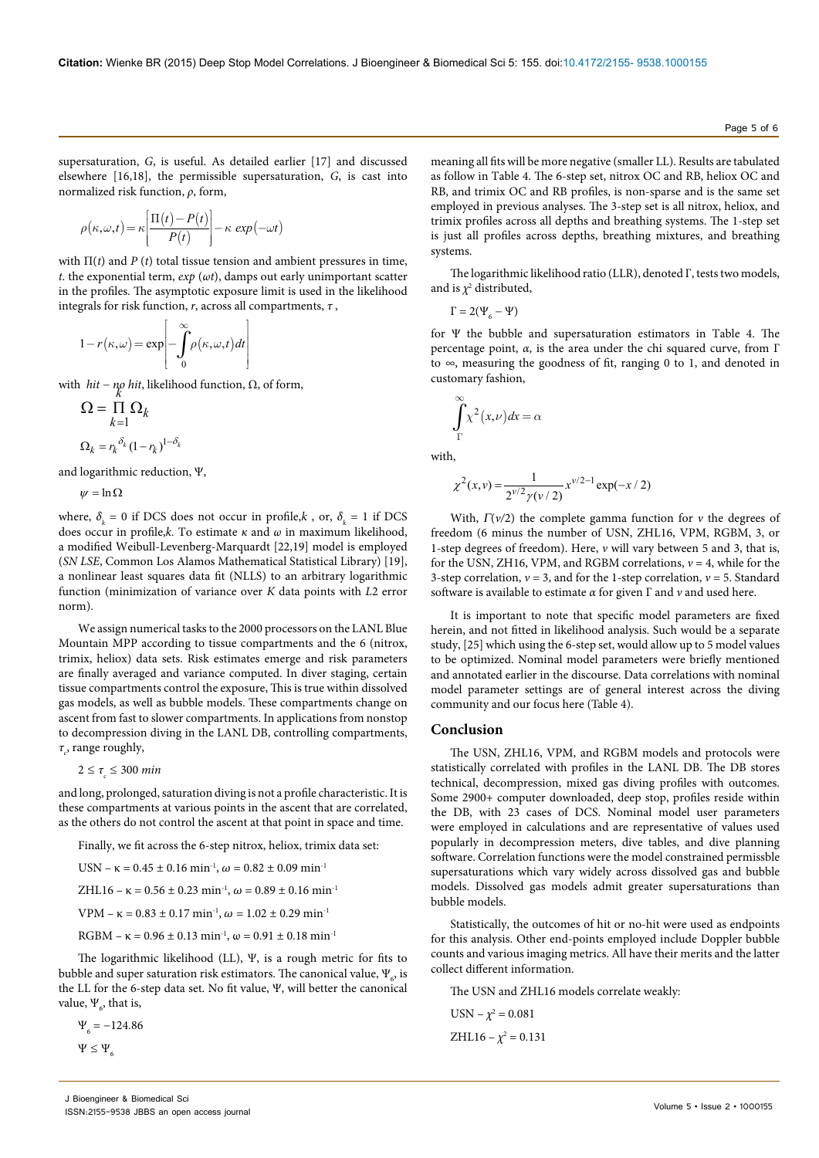supersaturation, *G*, is useful. As detailed earlier [17] and discussed elsewhere [16,18], the permissible supersaturation, *G*, is cast into normalized risk function, *ρ*, form,

$$
\rho(\kappa,\omega,t) = \kappa \left[ \frac{\Pi(t) - P(t)}{P(t)} \right] - \kappa \exp(-\omega t)
$$

with Π(*t*) and *P* (*t*) total tissue tension and ambient pressures in time, *t*. the exponential term, *exp* (*ωt*), damps out early unimportant scatter in the profiles. The asymptotic exposure limit is used in the likelihood integrals for risk function, *r*, across all compartments, *τ* ,

$$
1 - r(\kappa, \omega) = \exp\left[-\int_{0}^{\infty} \rho(\kappa, \omega, t) dt\right]
$$

with *hit − no hit*, likelihood function, Ω, of form, *k*

$$
\Omega = \prod_{k=1} \Omega_k
$$
  

$$
\Omega_k = r_k^{\delta_k} (1 - r_k)^{1 - \delta_k}
$$

and logarithmic reduction, Ψ,

 $\psi = \ln \Omega$ 

where,  $\delta_k = 0$  if DCS does not occur in profile, $k$ , or,  $\delta_k = 1$  if DCS does occur in profile,*k.* To estimate *κ* and *ω* in maximum likelihood, a modified Weibull-Levenberg-Marquardt [22,19] model is employed (*SN LSE*, Common Los Alamos Mathematical Statistical Library) [19], a nonlinear least squares data fit (NLLS) to an arbitrary logarithmic function (minimization of variance over *K* data points with *L*2 error norm).

We assign numerical tasks to the 2000 processors on the LANL Blue Mountain MPP according to tissue compartments and the 6 (nitrox, trimix, heliox) data sets. Risk estimates emerge and risk parameters are finally averaged and variance computed. In diver staging, certain tissue compartments control the exposure, This is true within dissolved gas models, as well as bubble models. These compartments change on ascent from fast to slower compartments. In applications from nonstop to decompression diving in the LANL DB, controlling compartments,  $τ<sub>c</sub>$ , range roughly,

 $2 \leq \tau_c \leq 300$  *min* 

and long, prolonged, saturation diving is not a profile characteristic. It is these compartments at various points in the ascent that are correlated, as the others do not control the ascent at that point in space and time.

Finally, we fit across the 6-step nitrox, heliox, trimix data set:

USN –  $\kappa = 0.45 \pm 0.16$  min<sup>-1</sup>,  $\omega = 0.82 \pm 0.09$  min<sup>-1</sup>

ZHL16 –  $\kappa = 0.56 \pm 0.23$  min<sup>-1</sup>,  $\omega = 0.89 \pm 0.16$  min<sup>-1</sup>

VPM – κ = 0.83  $\pm$  0.17 min<sup>-1</sup>,  $ω = 1.02 \pm 0.29$  min<sup>-1</sup>

 $RGBM - \kappa = 0.96 \pm 0.13$  min<sup>-1</sup>,  $\omega = 0.91 \pm 0.18$  min<sup>-1</sup>

The logarithmic likelihood (LL), Ψ, is a rough metric for fits to bubble and super saturation risk estimators. The canonical value,  $\Psi_{_{6'}}$ , is the LL for the 6-step data set. No fit value, Ψ, will better the canonical value,  $\Psi_{\scriptscriptstyle{\theta}}$ , that is,

 $\Psi_{6} = -124.86$  $\Psi$  ≤ Ψ<sub>6</sub>

Page 5 of 6

meaning all fits will be more negative (smaller LL). Results are tabulated as follow in Table 4. The 6-step set, nitrox OC and RB, heliox OC and RB, and trimix OC and RB profiles, is non-sparse and is the same set employed in previous analyses. The 3-step set is all nitrox, heliox, and trimix profiles across all depths and breathing systems. The 1-step set is just all profiles across depths, breathing mixtures, and breathing systems.

The logarithmic likelihood ratio (LLR), denoted Γ, tests two models, and is  $\chi^2$  distributed,

$$
\Gamma = 2(\Psi_{\rm 6} - \Psi)
$$

for Ψ the bubble and supersaturation estimators in Table 4. The percentage point, *α*, is the area under the chi squared curve, from Γ to *∞*, measuring the goodness of fit, ranging 0 to 1, and denoted in customary fashion,

$$
\int_{\Gamma}^{\infty} \chi^2(x,\nu) dx = \alpha
$$

with,

$$
\chi^{2}(x,v) = \frac{1}{2^{v/2}\gamma(v/2)}x^{v/2-1}\exp(-x/2)
$$

With, Γ(*ν/*2) the complete gamma function for *ν* the degrees of freedom (6 minus the number of USN, ZHL16, VPM, RGBM, 3, or 1-step degrees of freedom). Here, *ν* will vary between 5 and 3, that is, for the USN, ZH16, VPM, and RGBM correlations, *ν* = 4, while for the 3-step correlation, *ν* = 3, and for the 1-step correlation, *ν* = 5. Standard software is available to estimate *α* for given Γ and *ν* and used here.

It is important to note that specific model parameters are fixed herein, and not fitted in likelihood analysis. Such would be a separate study, [25] which using the 6-step set, would allow up to 5 model values to be optimized. Nominal model parameters were briefly mentioned and annotated earlier in the discourse. Data correlations with nominal model parameter settings are of general interest across the diving community and our focus here (Table 4).

### **Conclusion**

The USN, ZHL16, VPM, and RGBM models and protocols were statistically correlated with profiles in the LANL DB. The DB stores technical, decompression, mixed gas diving profiles with outcomes. Some 2900+ computer downloaded, deep stop, profiles reside within the DB, with 23 cases of DCS. Nominal model user parameters were employed in calculations and are representative of values used popularly in decompression meters, dive tables, and dive planning software. Correlation functions were the model constrained permissble supersaturations which vary widely across dissolved gas and bubble models. Dissolved gas models admit greater supersaturations than bubble models.

Statistically, the outcomes of hit or no-hit were used as endpoints for this analysis. Other end-points employed include Doppler bubble counts and various imaging metrics. All have their merits and the latter collect different information.

The USN and ZHL16 models correlate weakly:

$$
USN - \chi^2 = 0.081
$$
  
ZHL16 -  $\chi^2$  = 0.131